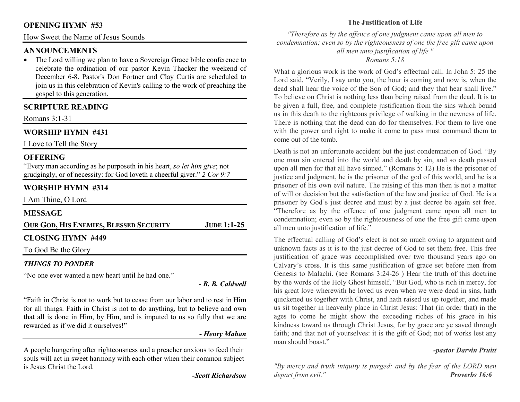## **OPENING HYMN #53**

How Sweet the Name of Jesus Sounds

## **ANNOUNCEMENTS**

 • The Lord willing we plan to have a Sovereign Grace bible conference to celebrate the ordination of our pastor Kevin Thacker the weekend of December 6-8. Pastor's Don Fortner and Clay Curtis are scheduled to join us in this celebration of Kevin's calling to the work of preaching the gospel to this generation.

## **SCRIPTURE READING**

Romans 3:1-31

# **WORSHIP HYMN #431**

I Love to Tell the Story

## **OFFERING**

 "Every man according as he purposeth in his heart, *so let him give*; not grudgingly, or of necessity: for God loveth a cheerful giver." *2 Cor 9:7*

# **WORSHIP HYMN #314**

I Am Thine, O Lord

# **MESSAGE**

| <b>OUR GOD, HIS ENEMIES, BLESSED SECURITY</b> | $JUDE$ 1:1-25 |
|-----------------------------------------------|---------------|
| <b>CLOSING HYMN #449</b>                      |               |
| To God Be the Glory                           |               |

## *THINGS TO PONDER*

"No one ever wanted a new heart until he had one."

*- B. B. Caldwell* 

"Faith in Christ is not to work but to cease from our labor and to rest in Him for all things. Faith in Christ is not to do anything, but to believe and own that all is done in Him, by Him, and is imputed to us so fully that we are rewarded as if we did it ourselves!"

## *- Henry Mahan*

A people hungering after righteousness and a preacher anxious to feed their souls will act in sweet harmony with each other when their common subject is Jesus Christ the Lord.

*-Scott Richardson* 

## **The Justification of Life**

*"Therefore as by the offence of one judgment came upon all men to condemnation; even so by the righteousness of one the free gift came upon all men unto justification of life."* 

#### *Romans 5:18*

What a glorious work is the work of God's effectual call. In John 5: 25 the Lord said, "Verily, I say unto you, the hour is coming and now is, when the dead shall hear the voice of the Son of God; and they that hear shall live." To believe on Christ is nothing less than being raised from the dead. It is to be given a full, free, and complete justification from the sins which bound us in this death to the righteous privilege of walking in the newness of life. There is nothing that the dead can do for themselves. For them to live one with the power and right to make it come to pass must command them to come out of the tomb.

Death is not an unfortunate accident but the just condemnation of God. "By one man sin entered into the world and death by sin, and so death passed upon all men for that all have sinned." (Romans 5: 12) He is the prisoner of justice and judgment, he is the prisoner of the god of this world, and he is a prisoner of his own evil nature. The raising of this man then is not a matter of will or decision but the satisfaction of the law and justice of God. He is a prisoner by God's just decree and must by a just decree be again set free. "Therefore as by the offence of one judgment came upon all men to condemnation; even so by the righteousness of one the free gift came upon all men unto justification of life."

The effectual calling of God's elect is not so much owing to argument and unknown facts as it is to the just decree of God to set them free. This free justification of grace was accomplished over two thousand years ago on Calvary's cross. It is this same justification of grace set before men from Genesis to Malachi. (see Romans 3:24-26 ) Hear the truth of this doctrine by the words of the Holy Ghost himself, "But God, who is rich in mercy, for his great love wherewith he loved us even when we were dead in sins, hath quickened us together with Christ, and hath raised us up together, and made us sit together in heavenly place in Christ Jesus: That (in order that) in the ages to come he might show the exceeding riches of his grace in his kindness toward us through Christ Jesus, for by grace are ye saved through faith; and that not of yourselves: it is the gift of God; not of works lest any man should boast."

## *-pastor Darvin Pruitt*

*"By mercy and truth iniquity is purged: and by the fear of the LORD men depart from evil." Proverbs 16:6*